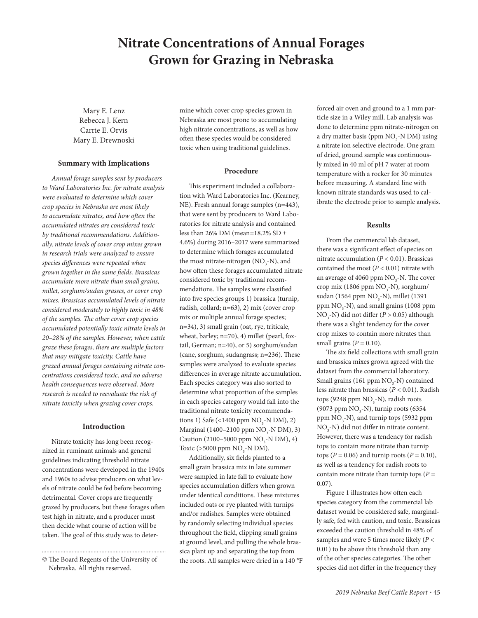# **Nitrate Concentrations of Annual Forages Grown for Grazing in Nebraska**

Mary E. Lenz Rebecca J. Kern Carrie E. Orvis Mary E. Drewnoski

#### **Summary with Implications**

*Annual forage samples sent by producers to Ward Laboratories Inc. for nitrate analysis were evaluated to determine which cover crop species in Nebraska are most likely to accumulate nitrates, and how often the accumulated nitrates are considered toxic by traditional recommendations. Additionally, nitrate levels of cover crop mixes grown in research trials were analyzed to ensure species differences were repeated when grown together in the same fields. Brassicas accumulate more nitrate than small grains, millet, sorghum/sudan grasses, or cover crop mixes. Brassicas accumulated levels of nitrate considered moderately to highly toxic in 48% of the samples. The other cover crop species accumulated potentially toxic nitrate levels in 20–28% of the samples. However, when cattle graze these forages, there are multiple factors that may mitigate toxicity. Cattle have grazed annual forages containing nitrate concentrations considered toxic, and no adverse health consequences were observed. More research is needed to reevaluate the risk of nitrate toxicity when grazing cover crops.*

## **Introduction**

Nitrate toxicity has long been recognized in ruminant animals and general guidelines indicating threshold nitrate concentrations were developed in the 1940s and 1960s to advise producers on what levels of nitrate could be fed before becoming detrimental. Cover crops are frequently grazed by producers, but these forages often test high in nitrate, and a producer must then decide what course of action will be taken. The goal of this study was to deter-

mine which cover crop species grown in Nebraska are most prone to accumulating high nitrate concentrations, as well as how often these species would be considered toxic when using traditional guidelines.

## **Procedure**

This experiment included a collaboration with Ward Laboratories Inc. (Kearney, NE). Fresh annual forage samples (n=443), that were sent by producers to Ward Laboratories for nitrate analysis and contained less than 26% DM (mean=18.2% SD  $\pm$ 4.6%) during 2016–2017 were summarized to determine which forages accumulated the most nitrate-nitrogen ( $NO<sub>3</sub>$ -N), and how often these forages accumulated nitrate considered toxic by traditional recommendations. The samples were classified into five species groups 1) brassica (turnip, radish, collard; n=63), 2) mix (cover crop mix or multiple annual forage species; n=34), 3) small grain (oat, rye, triticale, wheat, barley; n=70), 4) millet (pearl, foxtail, German; n=40), or 5) sorghum/sudan (cane, sorghum, sudangrass; n=236). These samples were analyzed to evaluate species differences in average nitrate accumulation. Each species category was also sorted to determine what proportion of the samples in each species category would fall into the traditional nitrate toxicity recommendations 1) Safe (<1400 ppm  $\rm NO_3$ -N DM), 2) Marginal (1400–2100 ppm  $\rm NO_3$ -N DM), 3) Caution (2100–5000 ppm  $NO<sub>3</sub>$ -N DM), 4) Toxic (>5000 ppm  $\rm NO_3$ -N DM).

Additionally, six fields planted to a small grain brassica mix in late summer were sampled in late fall to evaluate how species accumulation differs when grown under identical conditions. These mixtures included oats or rye planted with turnips and/or radishes. Samples were obtained by randomly selecting individual species throughout the field, clipping small grains at ground level, and pulling the whole brassica plant up and separating the top from the roots. All samples were dried in a 140 °F forced air oven and ground to a 1 mm particle size in a Wiley mill. Lab analysis was done to determine ppm nitrate-nitrogen on a dry matter basis (ppm  $\rm NO_3\text{-}N$  DM) using a nitrate ion selective electrode. One gram of dried, ground sample was continuously mixed in 40 ml of pH 7 water at room temperature with a rocker for 30 minutes before measuring. A standard line with known nitrate standards was used to calibrate the electrode prior to sample analysis.

## **Results**

From the commercial lab dataset, there was a significant effect of species on nitrate accumulation (*P* < 0.01). Brassicas contained the most  $(P < 0.01)$  nitrate with an average of 4060 ppm  $\rm NO_3$ -N. The cover crop mix (1806 ppm  $NO<sub>3</sub>$ -N), sorghum/ sudan (1564 ppm  $NO<sub>3</sub>$ -N), millet (1391 ppm  $\text{NO}_3$ -N), and small grains (1008 ppm NO3 -N) did not differ (*P* > 0.05) although there was a slight tendency for the cover crop mixes to contain more nitrates than small grains  $(P = 0.10)$ .

The six field collections with small grain and brassica mixes grown agreed with the dataset from the commercial laboratory. Small grains (161 ppm  $NO<sub>3</sub>$ -N) contained less nitrate than brassicas (*P* < 0.01). Radish tops (9248 ppm  $\rm NO_3$ -N), radish roots (9073 ppm  $NO<sub>3</sub>$ -N), turnip roots (6354 ppm  $NO<sub>3</sub>$ -N), and turnip tops (5932 ppm  $NO<sub>3</sub>-N$ ) did not differ in nitrate content. However, there was a tendency for radish tops to contain more nitrate than turnip tops ( $P = 0.06$ ) and turnip roots ( $P = 0.10$ ), as well as a tendency for radish roots to contain more nitrate than turnip tops  $(P =$ 0.07).

Figure 1 illustrates how often each species category from the commercial lab dataset would be considered safe, marginally safe, fed with caution, and toxic. Brassicas exceeded the caution threshold in 48% of samples and were 5 times more likely (*P* < 0.01) to be above this threshold than any of the other species categories. The other species did not differ in the frequency they

<sup>©</sup> The Board Regents of the University of Nebraska. All rights reserved.